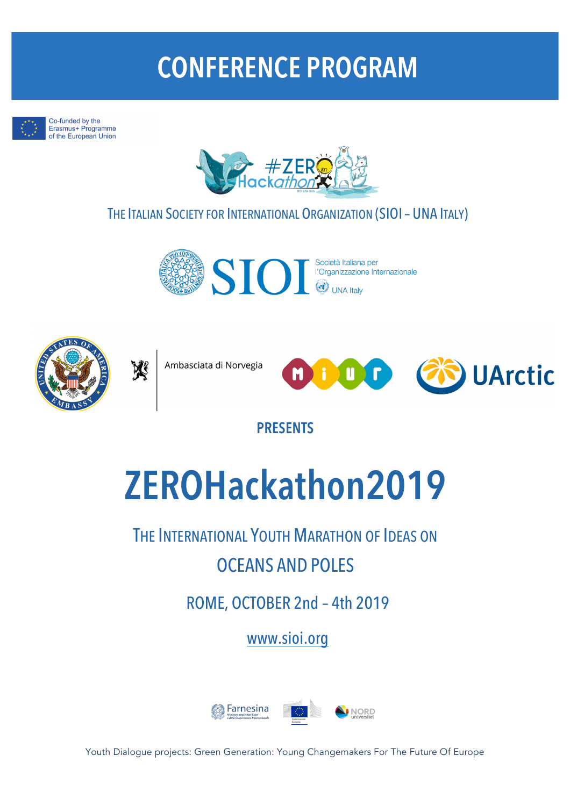# **CONFERENCE PROGRAM**



Co-funded by the Erasmus+ Programme of the European Union



# THE ITALIAN SOCIETY FOR INTERNATIONAL ORGANIZATION (SIOI– UNA ITALY)





Ambasciata di Norvegia

邌



**PRESENTS**

# **ZEROHackathon2019**

THE INTERNATIONAL YOUTH MARATHON OF IDEAS ON OCEANS AND POLES

ROME, OCTOBER 2nd – 4th 2019

www.sioi.org



Youth Dialogue projects: Green Generation: Young Changemakers For The Future Of Europe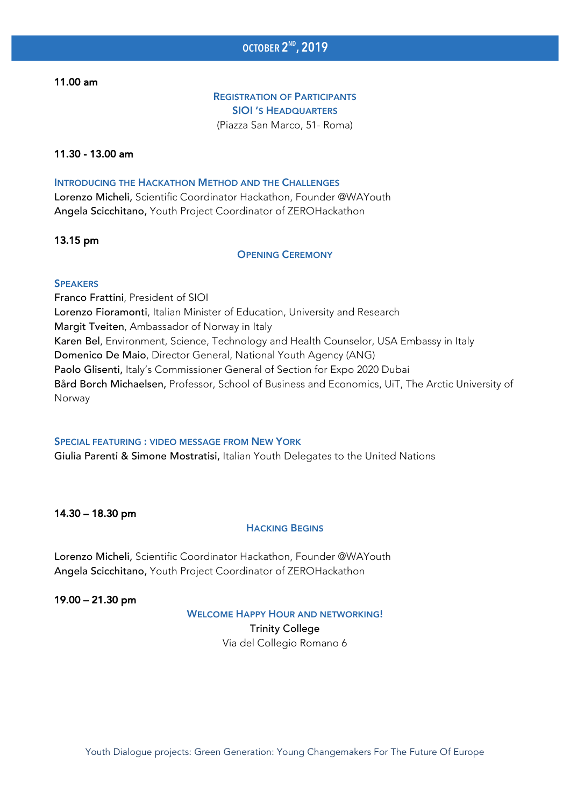11.00 am

#### REGISTRATION OF PARTICIPANTS SIOI 'S HEADQUARTERS (Piazza San Marco, 51- Roma)

#### 11.30 - 13.00 am

#### INTRODUCING THE HACKATHON METHOD AND THE CHALLENGES

Lorenzo Micheli, Scientific Coordinator Hackathon, Founder @WAYouth Angela Scicchitano, Youth Project Coordinator of ZEROHackathon

#### 13.15 pm

OPENING CEREMONY

#### **SPEAKERS**

Franco Frattini, President of SIOI Lorenzo Fioramonti, Italian Minister of Education, University and Research Margit Tveiten, Ambassador of Norway in Italy Karen Bel, Environment, Science, Technology and Health Counselor, USA Embassy in Italy Domenico De Maio, Director General, National Youth Agency (ANG) Paolo Glisenti, Italy's Commissioner General of Section for Expo 2020 Dubai Bård Borch Michaelsen, Professor, School of Business and Economics, UiT, The Arctic University of Norway

#### SPECIAL FEATURING : VIDEO MESSAGE FROM NEW YORK

Giulia Parenti & Simone Mostratisi, Italian Youth Delegates to the United Nations

#### 14.30 – 18.30 pm

#### HACKING BEGINS

Lorenzo Micheli, Scientific Coordinator Hackathon, Founder @WAYouth Angela Scicchitano, Youth Project Coordinator of ZEROHackathon

19.00 – 21.30 pm

WELCOME HAPPY HOUR AND NETWORKING!

Trinity College Via del Collegio Romano 6